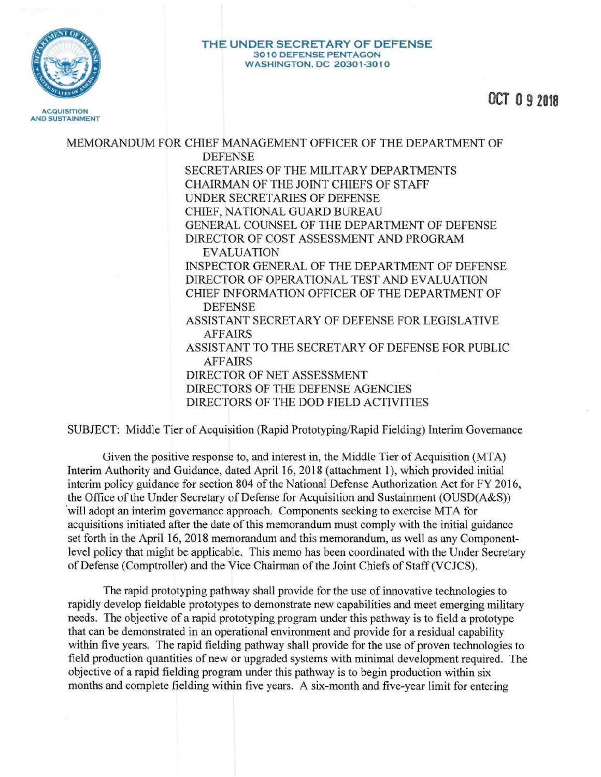

## **THE UNDER SECRET ARY OF DEFENSE 3 01 0 D EFE NSE PENTAGON WASHINGTO N . DC 20301 -3010**

**OCT O 9 2018** 

MEMORANDUM FOR CHIEF MANAGEMENT OFFICER OF THE DEPARTMENT OF DEFENSE SECRETARIES OF THE MILITARY DEPARTMENTS CHAIRMAN OF THE JOINT CHIEFS OF STAFF UNDER SECRET ARIES OF DEFENSE CHIEF, NATIONAL GUARD BUREAU GENERAL COUNSEL OF THE DEPARTMENT OF DEFENSE DIRECTOR OF COST ASSESSMENT AND PROGRAM EVALUATION INSPECTOR GENERAL OF THE DEPARTMENT OF DEFENSE DIRECTOR OF OPERATIONAL TEST AND EVALUATION CHIEF INFORMATION OFFICER OF THE DEPARTMENT OF DEFENSE ASSISTANT SECRETARY OF DEFENSE FOR LEGISLATIVE AFFAIRS ASSISTANT TO THE SECRETARY OF DEFENSE FOR PUBLIC AFFAIRS DIRECTOR OF NET ASSESSMENT DIRECTORS OF THE DEFENSE AGENCIES DIRECTORS OF THE DOD FIELD ACTIVITIES

SUBJECT: Middle Tier of Acquisition (Rapid Prototyping/Rapid Fielding) Interim Governance

Given the positive response to, and interest in, the Middle Tier of Acquisition (MTA) Interim Authority and Guidance, dated April 16, 2018 (attachment 1), which provided initial interim policy guidance for section 804 of the National Defense Authorization Act for FY 2016, the Office of the Under Secretary of Defense for Acquisition and Sustainment (OUSD(A&S)) 'will adopt an interim governance approach. Components seeking to exercise MTA for acquisitions initiated after the date of this memorandum must comply with the initial guidance set forth in the April 16, 2018 memorandum and this memorandum, as well as any Componentlevel policy that might be applicable. This memo has been coordinated with the Under Secretary of Defense (Comptroller) and the Vice Chairman of the Joint Chiefs of Staff (VCJCS).

The rapid prototyping pathway shall provide for the use of innovative technologies to rapidly develop fieldable prototypes to demonstrate new capabilities and meet emerging military needs. The objective of a rapid prototyping program under this pathway is to field a prototype that can be demonstrated in an operational environment and provide for a residual capability within five years. The rapid fielding pathway shall provide for the use of proven technologies to field production quantities of new or upgraded systems with minimal development required. The objective of a rapid fielding program under this pathway is to begin production within six months and complete fielding within five years. A six-month and five-year limit for entering